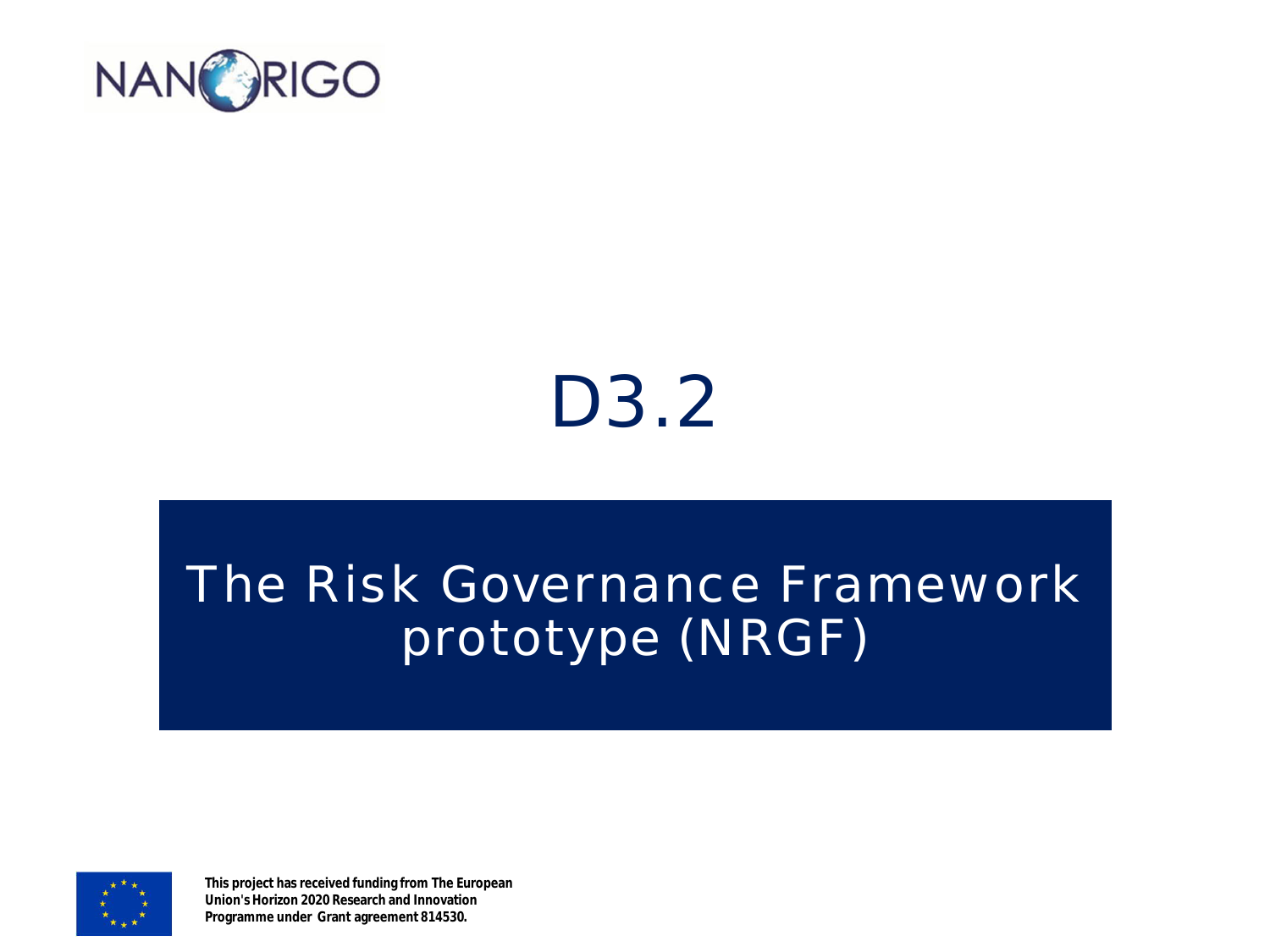

#### D3.2

#### The Risk Governance Framework prototype (NRGF)



**This project has received funding from The European Union's Horizon 2020 Research and Innovation Programme under Grant agreement 814530.**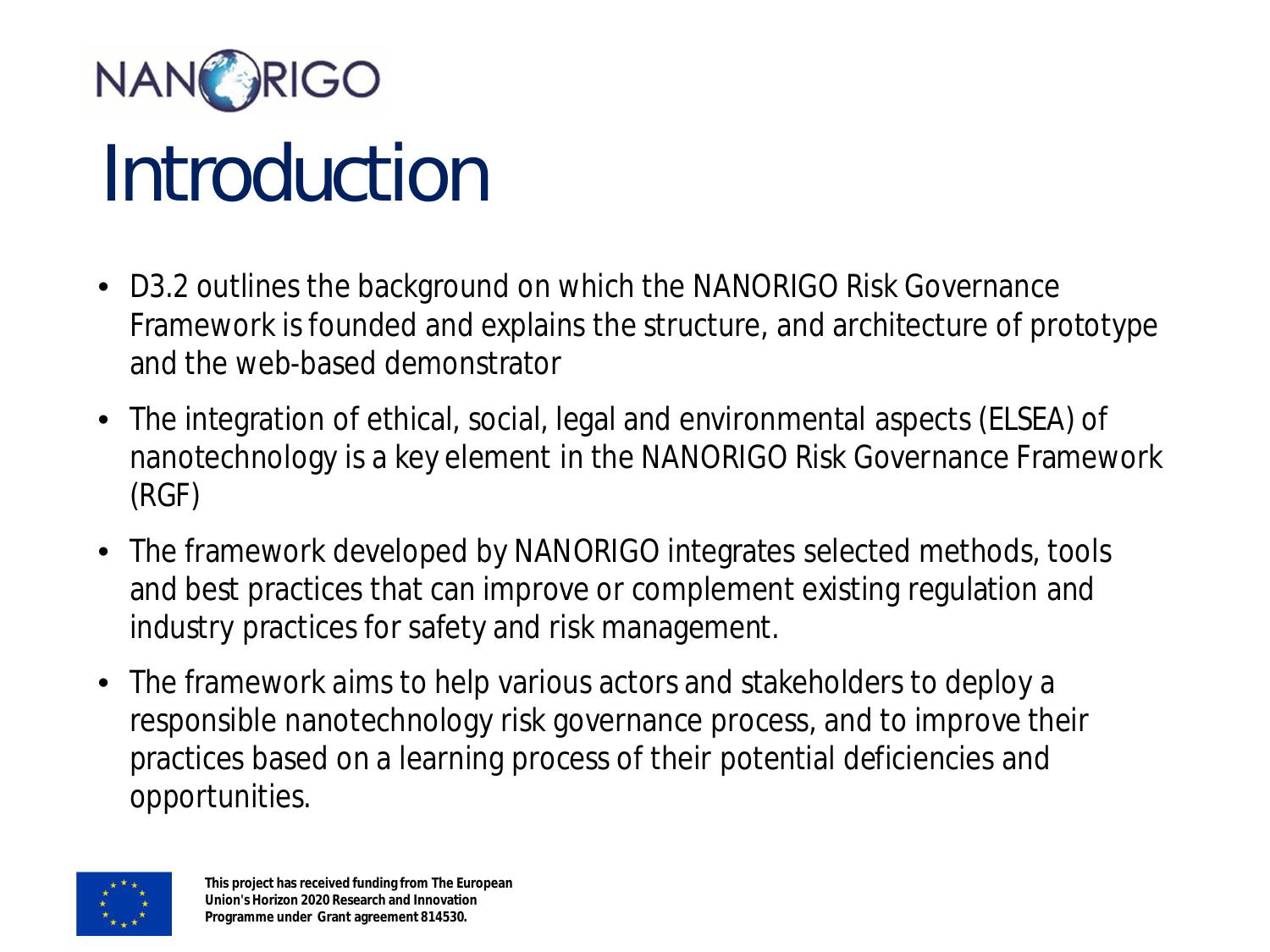

## Introduction

- D3.2 outlines the background on which the NANORIGO Risk Governance Framework is founded and explains the structure, and architecture of prototype and the web-based demonstrator
- The integration of ethical, social, legal and environmental aspects (ELSEA) of nanotechnology is a key element in the NANORIGO Risk Governance Framework (RGF)
- The framework developed by NANORIGO integrates selected methods, tools and best practices that can improve or complement existing regulation and industry practices for safety and risk management.
- The framework aims to help various actors and stakeholders to deploy a responsible nanotechnology risk governance process, and to improve their practices based on a learning process of their potential deficiencies and opportunities.

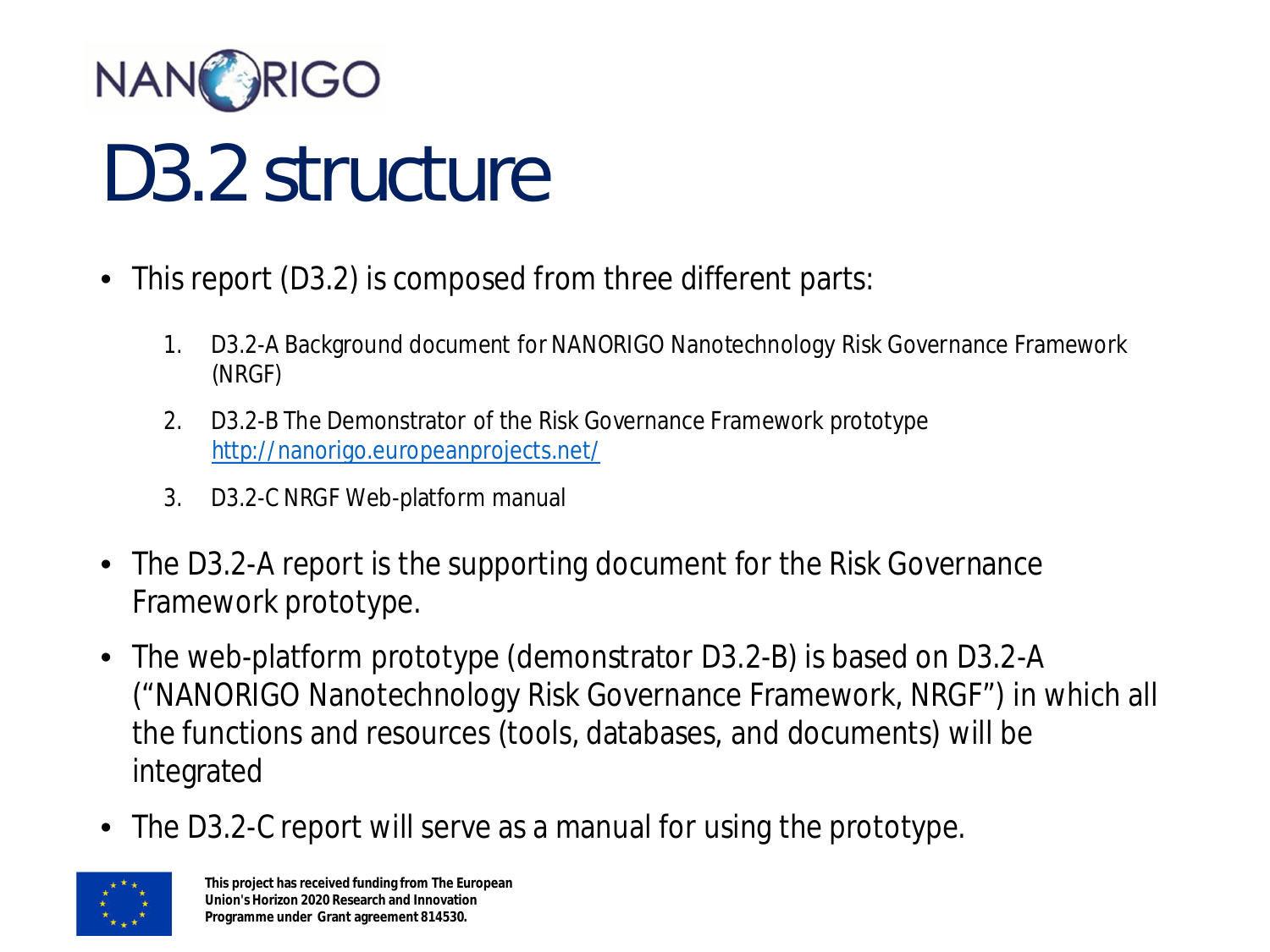

#### D3.2 structure

- This report (D3.2) is composed from three different parts:
	- 1. D3.2-A Background document for NANORIGO Nanotechnology Risk Governance Framework (NRGF)
	- 2. D3.2-B The Demonstrator of the Risk Governance Framework prototype <http://nanorigo.europeanprojects.net/>
	- 3. D3.2-C NRGF Web-platform manual
- The D3.2-A report is the supporting document for the Risk Governance Framework prototype.
- The web-platform prototype (demonstrator D3.2-B) is based on D3.2-A ("NANORIGO Nanotechnology Risk Governance Framework, NRGF") in which all the functions and resources (tools, databases, and documents) will be integrated
- The D3.2-C report will serve as a manual for using the prototype.

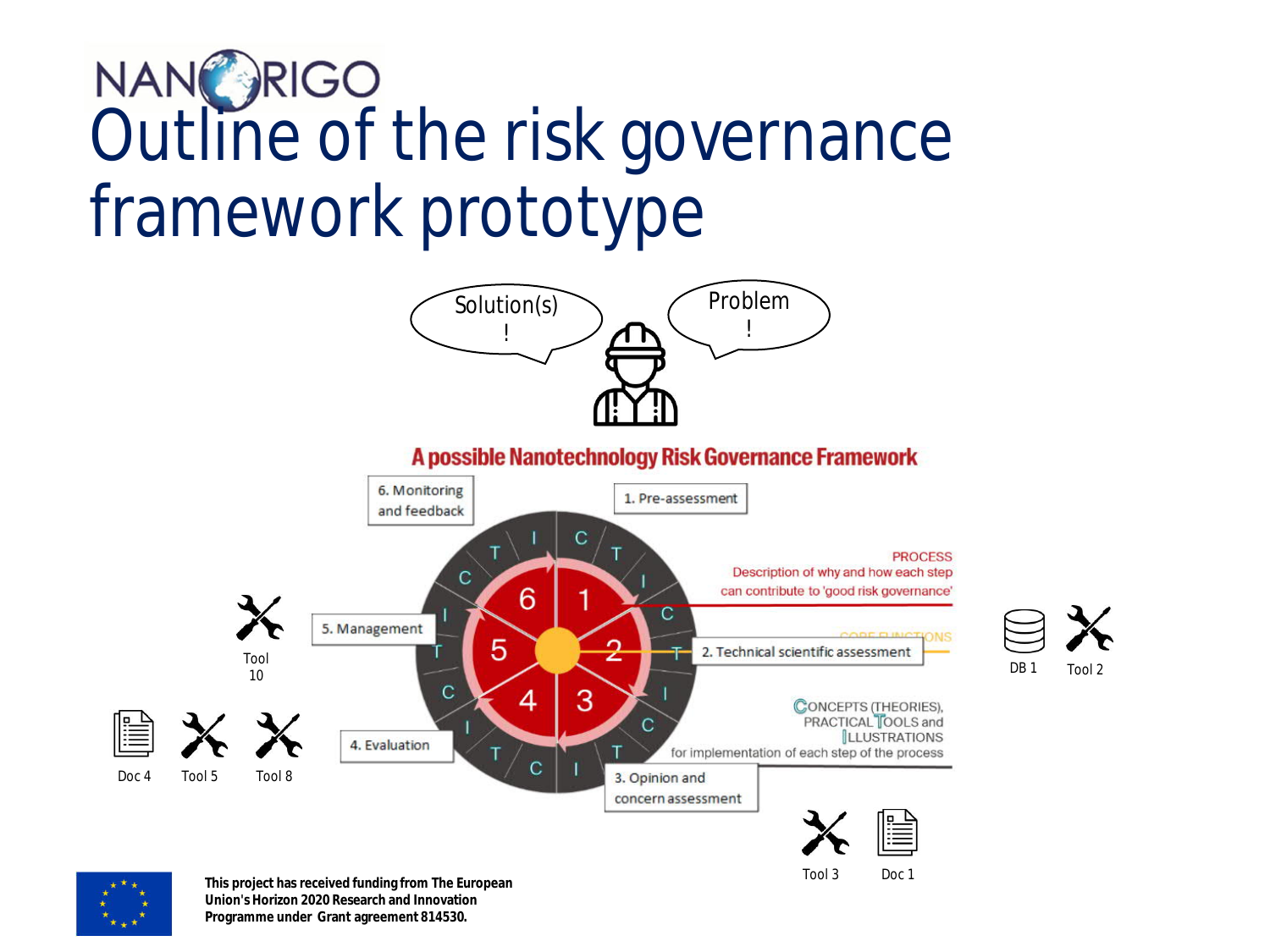### NANC RIGO<br>Outline of the risk governance framework prototype



**Union's Horizon 2020 Research and Innovation Programme under Grant agreement 814530.**